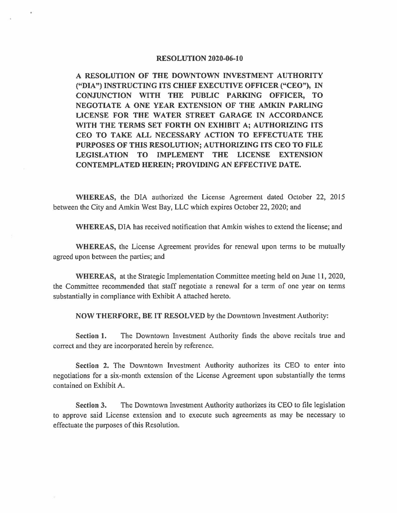#### **RESOLUTION 2020-06-10**

**A RESOLUTION OF THE DOWNTOWN INVESTMENT AUTHORITY ("DIA") INSTRUCTING ITS CHIEF EXECUTIVE OFFICER ("CEO"),** IN **CONJUNCTION WITH THE PUBLIC PARKING OFFICER, TO NEGOTIATE A ONE YEAR EXTENSION OF THE AMKIN PARLING LICENSE FOR THE WATER STREET GARAGE IN ACCORDANCE WITH THE TERMS SET FORTH ON EXHIBIT A; AUTHORIZING ITS CEO TO TAKE ALL NECESSARY ACTION TO EFFECTUATE THE PURPOSES OF THIS RESOLUTION; AUTHORIZING ITS CEO TO FILE LEGISLATION TO IMPLEMENT THE LICENSE EXTENSION CONTEMPLATED HEREIN; PROVIDING AN EFFECTIVE DATE.** 

**WHEREAS,** the DIA authorized the License Agreement dated October 22, 2015 between the City and Amkin West Bay, LLC which expires October 22, 2020; and

**WHEREAS,** DIA has received notification that Amkin wishes to extend the license; and

**WHEREAS,** the License Agreement provides for renewal upon tenns to be mutually agreed upon between the parties; and

**WHEREAS,** at the Strategic Implementation Committee meeting held on June 11, 2020, the Committee recommended that staff negotiate a renewal for a term of one year on terms substantially in compliance with Exhibit A attached hereto.

**NOW THERFORE, BE IT RESOLVED** by the Downtown Investment Authority:

**Section 1.** The Downtown Investment Authority finds the above recitals true and correct and they are incorporated herein by reference.

**Section 2.** The Downtown Investment Authority authorizes its CEO to enter into negotiations for a six-month extension of the License Agreement upon substantially the terms contained on Exhibit A.

**Section 3.** The Downtown Investment Authority authorizes its CEO to file legislation to approve said License extension and to execute such agreements as may be necessary to effectuate the purposes of this Resolution.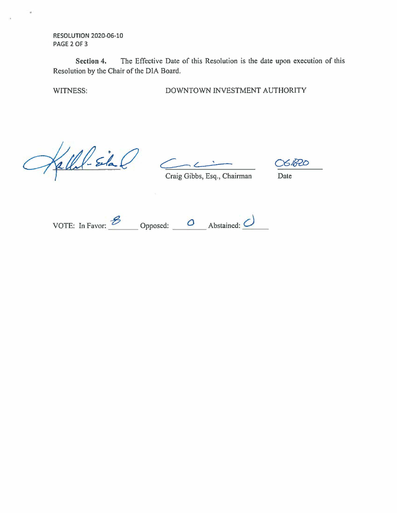**RESOLUTION** 2020-06-10 **PAGE 2** OF 3

**Section 4.** The Effective Date of this Resolution is the date upon execution of this Resolution by the Chair of the DIA Board.

WITNESS: DOWNTOWN INVESTMENT AUTHORITY

Gall-Sila C Craig Gibbs, Esq., Chairman Date

06.820

VOTE: In Favor: **\_-e \_\_\_** Opposed: **\_\_ a \_\_** Abstained: *\_c) \_\_ \_*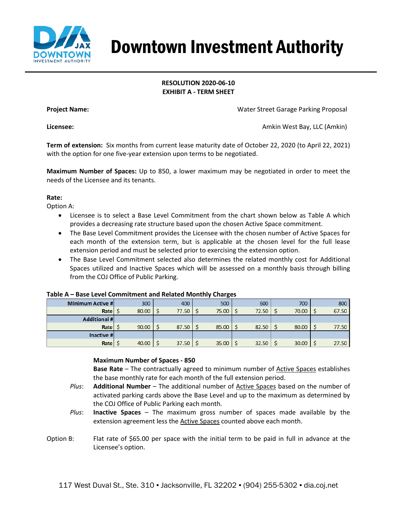

# Downtown Investment Authority

## **RESOLUTION 2020-06-10 EXHIBIT A - TERM SHEET**

**Project Name:** Water Street Garage Parking Proposal

**Licensee:** Amkin West Bay, LLC (Amkin)

**Term of extension:** Six months from current lease maturity date of October 22, 2020 (to April 22, 2021) with the option for one five-year extension upon terms to be negotiated.

**Maximum Number of Spaces:** Up to 850, a lower maximum may be negotiated in order to meet the needs of the Licensee and its tenants.

### **Rate:**

Option A:

- Licensee is to select a Base Level Commitment from the chart shown below as Table A which provides a decreasing rate structure based upon the chosen Active Space commitment.
- The Base Level Commitment provides the Licensee with the chosen number of Active Spaces for each month of the extension term, but is applicable at the chosen level for the full lease extension period and must be selected prior to exercising the extension option.
- The Base Level Commitment selected also determines the related monthly cost for Additional Spaces utilized and Inactive Spaces which will be assessed on a monthly basis through billing from the COJ Office of Public Parking.

| <b>Minimum Active #</b> | 300   | 400   | 500          | 600   | 700   | 800   |
|-------------------------|-------|-------|--------------|-------|-------|-------|
| Rate   \$               | 80.00 | 77.50 | $75.00$   \$ | 72.50 | 70.00 | 67.50 |
| <b>Additional #</b>     |       |       |              |       |       |       |
| Rate $\frac{1}{5}$      | 90.00 | 87.50 | $85.00$   \$ | 82.50 | 80.00 | 77.50 |
| Inactive #              |       |       |              |       |       |       |
| Rate                    | 40.00 | 37.50 | $35.00$   \$ | 32.50 | 30.00 | 27.50 |

### **Table A – Base Level Commitment and Related Monthly Charges**

### **Maximum Number of Spaces - 850**

**Base Rate** – The contractually agreed to minimum number of Active Spaces establishes the base monthly rate for each month of the full extension period.

- *Plus*: **Additional Number** The additional number of Active Spaces based on the number of activated parking cards above the Base Level and up to the maximum as determined by the COJ Office of Public Parking each month.
- *Plus*: **Inactive Spaces** The maximum gross number of spaces made available by the extension agreement less the Active Spaces counted above each month.
- Option B: Flat rate of \$65.00 per space with the initial term to be paid in full in advance at the Licensee's option.